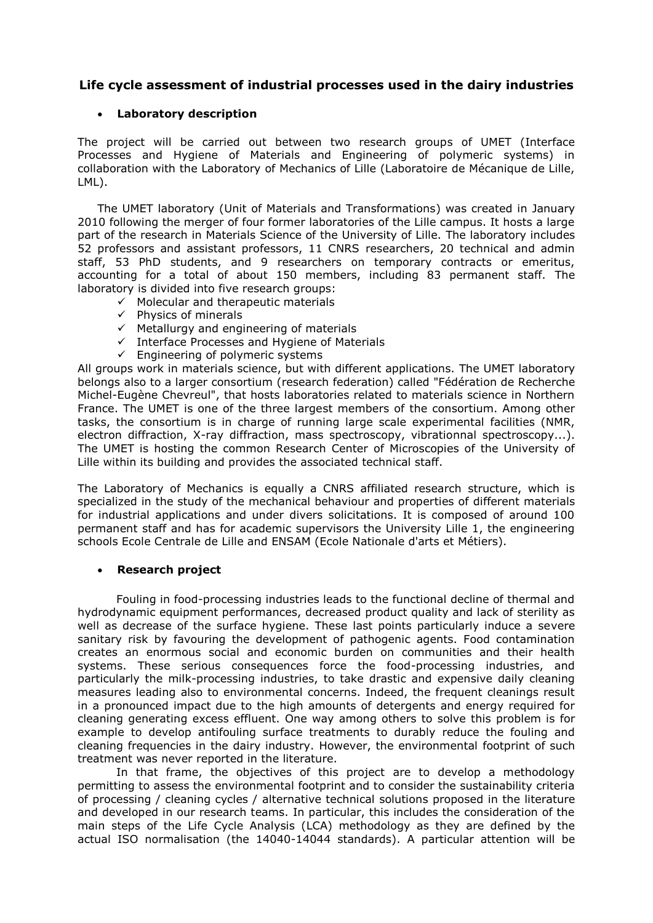# **Life cycle assessment of industrial processes used in the dairy industries**

### **Laboratory description**

The project will be carried out between two research groups of UMET (Interface Processes and Hygiene of Materials and Engineering of polymeric systems) in collaboration with the Laboratory of Mechanics of Lille (Laboratoire de Mécanique de Lille, LML).

The UMET laboratory (Unit of Materials and Transformations) was created in January 2010 following the merger of four former laboratories of the Lille campus. It hosts a large part of the research in Materials Science of the University of Lille. The laboratory includes 52 professors and assistant professors, 11 CNRS researchers, 20 technical and admin staff, 53 PhD students, and 9 researchers on temporary contracts or emeritus, accounting for a total of about 150 members, including 83 permanent staff. The laboratory is divided into five research groups:

- $\checkmark$  Molecular and therapeutic materials
- $\checkmark$  Physics of minerals
- $\checkmark$  Metallurgy and engineering of materials
- $\checkmark$  Interface Processes and Hygiene of Materials
- $\checkmark$  Engineering of polymeric systems

All groups work in materials science, but with different applications. The UMET laboratory belongs also to a larger consortium (research federation) called "Fédération de Recherche Michel-Eugène Chevreul", that hosts laboratories related to materials science in Northern France. The UMET is one of the three largest members of the consortium. Among other tasks, the consortium is in charge of running large scale experimental facilities (NMR, electron diffraction, X-ray diffraction, mass spectroscopy, vibrationnal spectroscopy...). The UMET is hosting the common Research Center of Microscopies of the University of Lille within its building and provides the associated technical staff.

The Laboratory of Mechanics is equally a CNRS affiliated research structure, which is specialized in the study of the mechanical behaviour and properties of different materials for industrial applications and under divers solicitations. It is composed of around 100 permanent staff and has for academic supervisors the University Lille 1, the engineering schools Ecole Centrale de Lille and ENSAM (Ecole Nationale d'arts et Métiers).

#### **Research project**

Fouling in food-processing industries leads to the functional decline of thermal and hydrodynamic equipment performances, decreased product quality and lack of sterility as well as decrease of the surface hygiene. These last points particularly induce a severe sanitary risk by favouring the development of pathogenic agents. Food contamination creates an enormous social and economic burden on communities and their health systems. These serious consequences force the food-processing industries, and particularly the milk-processing industries, to take drastic and expensive daily cleaning measures leading also to environmental concerns. Indeed, the frequent cleanings result in a pronounced impact due to the high amounts of detergents and energy required for cleaning generating excess effluent. One way among others to solve this problem is for example to develop antifouling surface treatments to durably reduce the fouling and cleaning frequencies in the dairy industry. However, the environmental footprint of such treatment was never reported in the literature.

In that frame, the objectives of this project are to develop a methodology permitting to assess the environmental footprint and to consider the sustainability criteria of processing / cleaning cycles / alternative technical solutions proposed in the literature and developed in our research teams. In particular, this includes the consideration of the main steps of the Life Cycle Analysis (LCA) methodology as they are defined by the actual ISO normalisation (the 14040-14044 standards). A particular attention will be